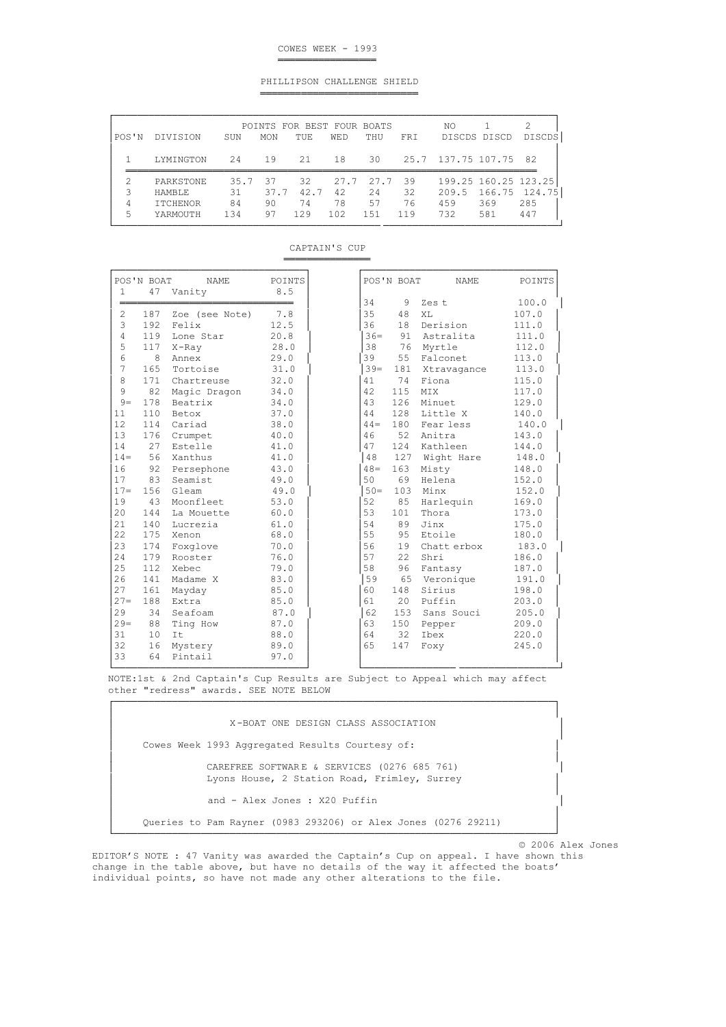# COWES WEEK - 1993

═════════════════

═══════════════

═══════════════════════════

### PHILLIPSON CHALLENGE SHIELD

| POS'N | DIVISION        | SUN  | <b>MON</b> | POINTS FOR BEST FOUR BOATS<br>TUE | <b>WED</b> | THU  | FRI  | NO                    | DISCDS DISCD  | DISCDS |
|-------|-----------------|------|------------|-----------------------------------|------------|------|------|-----------------------|---------------|--------|
|       | LYMINGTON       | 24   | 19         | 21                                | 18         | 30   |      | 25.7 137.75 107.75 82 |               |        |
|       | PARKSTONE       | 35.7 | -37        | 32                                | 27.7       | 27.7 | - 39 | 199.25 160.25 123.25  |               |        |
|       |                 |      |            |                                   |            |      |      |                       |               |        |
|       | HAMBLE.         | 31   | 37.7       | 42.7                              | 42         | 2.4  | 32   | 209.5                 | 166.75 124.75 |        |
| 4     | <b>ITCHENOR</b> | 84   | 90         | 74                                | 78         | 57   | 76   | 459                   | 369           | 285    |

| CAPTAIN'S CUP |  |
|---------------|--|
|               |  |

|        | POS'N BOAT | NAME           | POINTS |        | POS'N BOAT | NAME            | POINTS |
|--------|------------|----------------|--------|--------|------------|-----------------|--------|
|        |            | 47 Vanity      | 8.5    |        |            |                 |        |
|        |            |                |        | 34     |            | 9 Zest          | 100.0  |
| 2      | 187        | Zoe (see Note) | 7.8    | 35     | 48         | XL              | 107.0  |
| 3      | 192        | Felix          | 12.5   | 36     | 18         | Derision        | 111.0  |
| 4      | 119        | Lone Star      | 20.8   | $36 =$ |            | 91 Astralita    | 111.0  |
| 5      | 117        | $X$ -Ray       | 28.0   | 38     |            | 76 Myrtle       | 112.0  |
| 6      | 8          | Annex          | 29.0   | 39     |            | 55 Falconet     | 113.0  |
| 7      | 165        | Tortoise       | 31.0   | $39 =$ |            | 181 Xtravagance | 113.0  |
| 8      | 171        | Chartreuse     | 32.0   | 41     |            | 74 Fiona        | 115.0  |
| 9      | 82         | Magic Dragon   | 34.0   | 42     | 115        | <b>MTX</b>      | 117.0  |
| $9-$   | 178        | Beatrix        | 34.0   | 43     | 126        | Minuet          | 129.0  |
| 11     | 110        | Betox          | 37.0   | 44     | 128        | Little X        | 140.0  |
| 12     | 114        | Cariad         | 38.0   | $44 =$ | 180        | Fear less       | 140.0  |
| 13     | 176        | Crumpet        | 40.0   | 46     | 52         | Anitra          | 143.0  |
| 14     | 27         | Estelle        | 41.0   | 47     | 124        | Kathleen        | 144.0  |
| $14 =$ | 56         | Xanthus        | 41.0   | 48     | 127        | Wight Hare      | 148.0  |
| 16     | 92         | Persephone     | 43.0   | $48 =$ | 163        | Misty           | 148.0  |
| 17     | 83         | Seamist        | 49.0   | 50     | 69         | Helena          | 152.0  |
| $17-$  | 156        | Gleam          | 49.0   | $50 =$ | 103        | Minx            | 152.0  |
| 19     | 43         | Moonfleet      | 53.0   | 52     | 85         | Harlequin       | 169.0  |
| 20     | 144        | La Mouette     | 60.0   | 53     | 101        | Thora           | 173.0  |
| 21     | 140        | Lucrezia       | 61.0   | 54     | 89         | Jinx            | 175.0  |
| 22     | 175        | Xenon          | 68.0   | 55     | 95         | Etoile          | 180.0  |
| 23     | 174        | Foxglove       | 70.0   | 56     | 19         | Chatt erbox     | 183.0  |
| 24     | 179        | Rooster        | 76.0   | 57     | 22         | Shri            | 186.0  |
| 25     | 112        | Xebec          | 79.0   | 58     | 96         | Fantasy         | 187.0  |
| 26     | 141        | Madame X       | 83.0   | 59     |            | 65 Veronique    | 191.0  |
| 27     | 161        | Mayday         | 85.0   | 60     | 148        | Sirius          | 198.0  |
| $27 =$ | 188        | Extra          | 85.0   | 61     |            | 20 Puffin       | 203.0  |
| 29     | 34         | Seafoam        | 87.0   | 62     |            | 153 Sans Souci  | 205.0  |
| $29=$  | 88         | Ting How       | 87.0   | 63     | 150        | Pepper          | 209.0  |
| 31     | 10         | It             | 88.0   | 64     | 32         | Ibex            | 220.0  |
| 32     | 16         | Mystery        | 89.0   | 65     | 147        | Foxy            | 245.0  |
| 33     | 64         | Pintail        | 97.0   |        |            |                 |        |

 NOTE:1st & 2nd Captain's Cup Results are Subject to Appeal which may affect other "redress" awards. SEE NOTE BELOW

| X-BOAT ONE DESIGN CLASS ASSOCIATION                                                         |
|---------------------------------------------------------------------------------------------|
| Cowes Week 1993 Aggregated Results Courtesy of:                                             |
| CAREFREE SOFTWARE & SERVICES (0276 685 761)<br>Lyons House, 2 Station Road, Frimley, Surrey |
| and - Alex Jones : X20 Puffin                                                               |
| Queries to Pam Rayner (0983 293206) or Alex Jones (0276 29211)                              |

└────────────────────────────────────────────────────────────────────────────┘

© 2006 Alex Jones

EDITOR'S NOTE : 47 Vanity was awarded the Captain's Cup on appeal. I have shown this change in the table above, but have no details of the way it affected the boats' individual points, so have not made any other alterations to the file.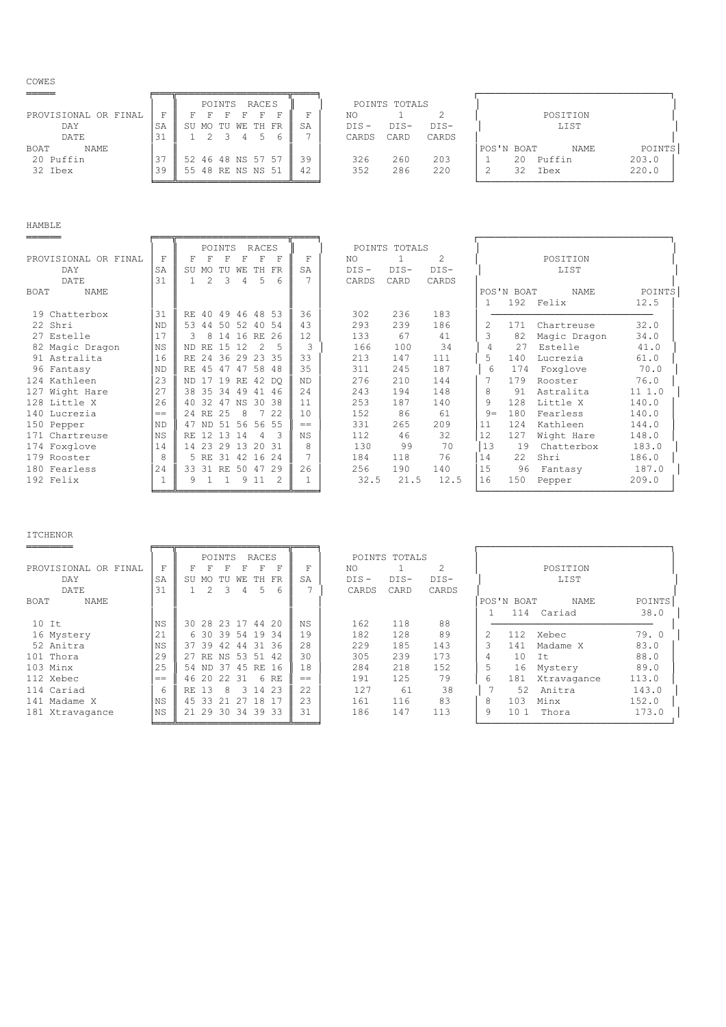COWES

|                      |    |                   | POINTS |         | RACE S |    |         | POINTS TOTALS |       |            |     |          |        |
|----------------------|----|-------------------|--------|---------|--------|----|---------|---------------|-------|------------|-----|----------|--------|
| PROVISIONAL OR FINAL |    |                   |        |         |        |    | ΝO      |               |       |            |     | POSITION |        |
| DAY                  | SA | SU MO TU WE TH FR |        |         |        | SA | $DIS -$ | $DTS-$        | DIS-  |            |     | LIST     |        |
| DATE                 |    |                   |        | 2 3 4 5 |        |    | CARDS   | CARD          | CARDS |            |     |          |        |
| <b>NAME</b><br>BOAT  |    |                   |        |         |        |    |         |               |       | POS'N BOAT |     | NAME     | POINTS |
| 20 Puffin            |    | 52 46 48 NS 57 57 |        |         |        | 39 | 326     | 260           | 203   |            | 20. | Puffin   | 203.0  |
| 32 Ibex              | 39 | 55 48 RE NS NS 51 |        |         |        | 42 | 352     | 286           | 220   |            | 32  | Ibex     | 220.0  |

## HAMBLE

|                            |                | <b>RACES</b><br>POINTS                   |           |         | POINTS TOTALS |                             |       |            |              |        |
|----------------------------|----------------|------------------------------------------|-----------|---------|---------------|-----------------------------|-------|------------|--------------|--------|
| PROVISIONAL OR FINAL       | F              | F<br>F<br>F<br>F<br>Ħ                    | F         | NO.     |               | $\mathcal{D}_{\mathcal{L}}$ |       |            | POSITION     |        |
| DAY                        | SA             | TH<br>FR<br>SU<br>MO.<br>TU<br>WЕ        | SA        | $DIS -$ | $DIS-$        | DIS-                        |       |            | LIST         |        |
| DATE                       | 31             | 2<br>3<br>5<br>4<br>6                    |           | CARDS   | CARD          | CARDS                       |       |            |              |        |
| <b>NAME</b><br><b>BOAT</b> |                |                                          |           |         |               |                             |       | POS'N BOAT | <b>NAME</b>  | POINTS |
|                            |                |                                          |           |         |               |                             |       |            | 192 Felix    | 12.5   |
| 19 Chatterbox              | 31             | 49 46 48 53<br>40<br>RF.                 | 36        | 302     | 236           | 183                         |       |            |              |        |
| 22 Shri                    | N <sub>D</sub> | 53<br>50<br>52<br>40 54<br>44            | 43        | 293     | 239           | 186                         | 2     | 171        | Chartreuse   | 32.0   |
| 27 Estelle                 | 17             | 8<br>16 RE 26<br>3<br>14                 | 12        | 133     | 67            | 41                          |       | 82         | Magic Dragon | 34.0   |
| 82 Magic Dragon            | <b>NS</b>      | $\mathcal{P}$<br>1.5<br>12<br>RE.<br>ND. | 3         | 166     | 100           | 34                          | 4     | 27         | Estelle      | 41.0   |
| 91 Astralita               | 16             | 29<br>23<br>-35<br>24<br>36<br>RE.       | 33        | 213     | 147           | 111                         | 5     | 140        | Lucrezia     | 61.0   |
| 96 Fantasy                 | N <sub>D</sub> | RE 45<br>47<br>47<br>58<br>48            | 35        | 311     | 245           | 187                         | 6     | 174        | Foxglove     | 70.0   |
| 124 Kathleen               | 23             | 19<br>42 DO<br>17<br>RE<br>ND.           | ND.       | 276     | 210           | 144                         |       | 179        | Rooster      | 76.0   |
| 127 Wight Hare             | 2.7            | 38 35<br>34<br>49<br>41<br>46            | 2.4       | 243     | 194           | 148                         | 8     | 91         | Astralita    | 111.0  |
| 128 Little X               | 2.6            | 32<br>47<br>NS 30 38<br>40               | 11        | 253     | 187           | 140                         | 9     | 128        | Little X     | 140.0  |
| 140 Lucrezia               | $==$           | 25<br>22<br>24 RE<br>8                   | 10        | 152     | 86            | 61                          | $9 =$ | 180        | Fearless     | 140.0  |
| 150 Pepper                 | <b>ND</b>      | 56<br>56 55<br>-51<br>47 ND              | $=$       | 331     | 265           | 209                         | 11    | 124        | Kathleen     | 144.0  |
| 171 Chartreuse             | <b>NS</b>      | 3<br>12<br>13<br>4<br>RE.<br>-14         | <b>NS</b> | 112     | 46            | 32                          | 12    | 127        | Wight Hare   | 148.0  |
| 174 Foxglove               | 14             | 14 23<br>29<br>13<br>31<br>$20^{\circ}$  | 8         | 130     | 99            | 70                          | 13    | 19         | Chatterbox   | 183.0  |
| 179 Rooster                | 8              | 31<br>16 24<br>5 RE<br>42                |           | 184     | 118           | 76                          | 14    | 2.2        | Shri         | 186.0  |
| 180 Fearless               | 24             | 33 31<br>50<br>29<br>RE<br>47            | 2.6       | 256     | 190           | 140                         | 15    | 96         | Fantasy      | 187.0  |
| 192 Felix                  |                | 9 1 1<br>9<br>1<br>1.                    |           | 32.5    | 21.5          | 12.5                        | 16    | 150        | Pepper       | 209.0  |

### ITCHENOR

|                      |           |       | POINTS |       |                | RACES             |     |         | POINTS TOTALS |       |    |            |             |        |
|----------------------|-----------|-------|--------|-------|----------------|-------------------|-----|---------|---------------|-------|----|------------|-------------|--------|
| PROVISIONAL OR FINAL | F         | F.    |        |       | F              | F<br>F            | F   | NO.     |               |       |    |            | POSITION    |        |
| DAY                  | SA        | SU    | MO     | TU    | WЕ<br>TH       | FR                | SA  | $DIS -$ | $DIS-$        | DIS-  |    |            | LIST        |        |
| DATE                 | 31        |       | 2      | २     | 4              | 5<br>6            |     | CARDS   | CARD          | CARDS |    |            |             |        |
| NAME<br>BOAT         |           |       |        |       |                |                   |     |         |               |       |    | POS'N BOAT | <b>NAME</b> | POINTS |
|                      |           |       |        |       |                |                   |     |         |               |       |    | 114        | Cariad      | 38.0   |
| $10$ It              | NS        |       |        |       |                | 30 28 23 17 44 20 | NS. | 162     | 118           | 88    |    |            |             |        |
| 16 Mystery           | 21        |       | 6 30   |       |                | 39 54 19 34       | 19  | 182     | 128           | 89    | 2. | 112        | Xebec       | 79.0   |
| 52 Anitra            | <b>NS</b> |       |        |       | 37 39 42 44 31 | -36               | 28  | 229     | 185           | 143   |    | 141        | Madame X    | 83.0   |
| 101 Thora            | 29        |       |        |       | 27 RE NS 53 51 | 42                | 30  | 305     | 239           | 173   | 4  | 10         | Tt.         | 88.0   |
| 103 Minx             | 2.5       | 54 ND |        | 37    |                | 45 RE 16          | 18  | 284     | 218           | 152   |    | 16         | Mystery     | 89.0   |
| 112 Xebec            | $=$       | 46 20 |        | 22 31 |                | 6 RF              | $=$ | 191     | 125           | 79    | 6  | 181        | Xtravagance | 113.0  |
| 114 Cariad           | 6         | RE.   | 13     | 8     |                | 3 14 23           | 22  | 127     | 61            | 38    |    | 52         | Anitra      | 143.0  |
| 141 Madame X         | NS        | 45 33 |        | 21    |                | 27 18 17          | 2.3 | 161     | 116           | 83    | 8  | 103        | Minx        | 152.0  |
| 181 Xtravagance      | NS        | 21 29 |        | 30    | 34             | 39 33             | 31  | 186     | 147           | 113   | 9  | 101        | Thora       | 173.0  |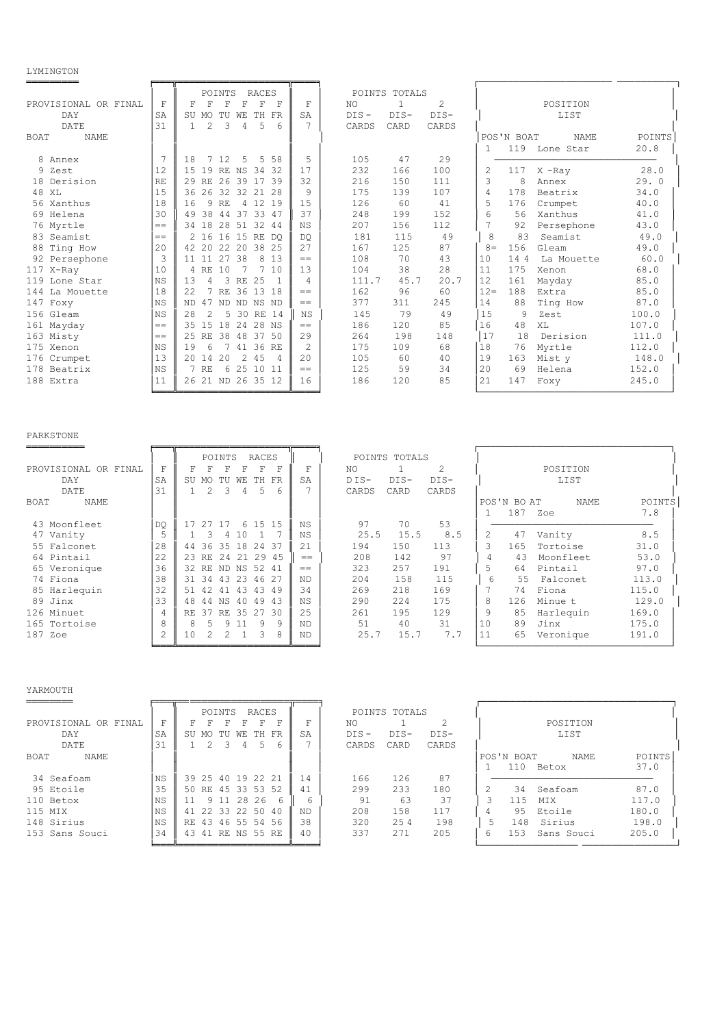### LYMINGTON

|                            |                | POINTS<br>RACES                                                 |                |         | POINTS TOTALS |                |        |              |             |        |
|----------------------------|----------------|-----------------------------------------------------------------|----------------|---------|---------------|----------------|--------|--------------|-------------|--------|
| PROVISIONAL OR FINAL       | F              | F<br>F<br>F<br>$\mathbf F$<br>F<br>F                            | F              | NO.     | $\mathbf{1}$  | $\overline{c}$ |        |              | POSITION    |        |
| <b>DAY</b>                 | SA             | WЕ<br>TH<br>SU MO<br>TU<br>FR                                   | SA             | $DIS -$ | $DIS-$        | DIS-           |        |              | LIST        |        |
| DATE                       | 31             | $\mathfrak{D}$<br>3<br>5<br>$\overline{4}$<br>6<br>$\mathbf{1}$ |                | CARDS   | CARD          | CARDS          |        |              |             |        |
| <b>NAME</b><br><b>BOAT</b> |                |                                                                 |                |         |               |                |        | POS'N BOAT   | <b>NAME</b> | POINTS |
|                            |                |                                                                 |                |         |               |                |        | 119          | Lone Star   | 20.8   |
| 8 Annex                    |                | 12<br>58<br>18<br>7<br>5<br>5                                   | 5              | 105     | 47            | 29             |        |              |             |        |
| 9 Zest                     | 12             | 1.5<br>19 RE<br>NS<br>34<br>32                                  | 17             | 232     | 166           | 100            | 2      | 117          | $X$ -Ray    | 28.0   |
| 18 Derision                | RE             | 26<br>39<br>29 RE<br>17<br>39                                   | 32             | 216     | 150           | 111            | 3      | 8            | Annex       | 29.0   |
| 48<br>XL                   | 15             | 36 26 32 32<br>21 28                                            | 9              | 175     | 139           | 107            | 4      | 178          | Beatrix     | 34.0   |
| 56 Xanthus                 | 18             | 9<br>16<br>4 12 19<br>RF.                                       | 1.5            | 126     | 60            | 41             | 5      | 176          | Crumpet     | 40.0   |
| 69 Helena                  | 30             | 33<br>38<br>44<br>37<br>49<br>47                                | 37             | 248     | 199           | 152            | 6      | 56           | Xanthus     | 41.0   |
| 76 Myrtle                  | $==$           | 18<br>28<br>51<br>32<br>34<br>-44                               | <b>NS</b>      | 207     | 156           | 112            |        | 92           | Persephone  | 43.0   |
| 83 Seamist                 | $=$            | 2 16<br>16<br>15 RE DO                                          | <b>DO</b>      | 181     | 115           | 49             | 8      | 83           | Seamist     | 49.0   |
| 88<br>Ting How             | 20             | 42.20<br>22 20 38 25                                            | 27             | 167     | 125           | 87             | $8 =$  | 156          | Gleam       | 49.0   |
| 92 Persephone              | 3              | 27<br>38<br>8 1 3<br>11111                                      | $=$            | 108     | 70            | 43             | 10     | 144          | La Mouette  | 60.0   |
| 117 X-Ray                  | 10             | RF.<br>10<br>7<br>10<br>$\overline{4}$                          | 13             | 104     | 38            | 28             | 11     | 175          | Xenon       | 68.0   |
| 119 Lone Star              | N <sub>S</sub> | 13<br>$\overline{4}$<br>3<br>25<br>RE                           | $\overline{4}$ | 111.7   | 45.7          | 20.7           | 12     | 161          | Mayday      | 85.0   |
| 144<br>La Mouette          | 18             | 7<br>36 13 18<br>2.2.<br>RE                                     | $=$            | 162     | 96            | 60             | $12 =$ | 188          | Extra       | 85.0   |
| 147<br>Foxy                | <b>NS</b>      | 47<br>ND.<br><b>ND</b><br>ND NS ND                              | $=$            | 377     | 311           | 245            | 14     | 88           | Ting How    | 87.0   |
| 156 Gleam                  | <b>NS</b>      | 2.8<br>2<br>5<br>30 RE 14                                       | <b>NS</b>      | 145     | 79            | 49             | 15     | $\mathsf{Q}$ | Zest        | 100.0  |
| 161 Mayday                 | $==$           | 15<br>18<br>35<br>24 28 NS                                      | $=$            | 186     | 120           | 85             | 16     | 48           | XL          | 107.0  |
| 163 Misty                  | $==$           | 38<br>48<br>37<br>25 RE<br>- 50                                 | 29             | 264     | 198           | 148            | 17     | 18           | Derision    | 111.0  |
| 175 Xenon                  | N <sub>S</sub> | 41 36 RE<br>19<br>6                                             | $\mathcal{L}$  | 175     | 109           | 68             | 18     | 76           | Myrtle      | 112.0  |
| 176 Crumpet                | 13             | 2.0<br>14<br>20<br>$\mathcal{L}$<br>4.5<br>$\overline{4}$       | 2.0            | 105     | 60            | 40             | 19     | 163          | Mist y      | 148.0  |
| 178 Beatrix                | <b>NS</b>      | 6 25 10 11<br>7 RE                                              | $=$            | 125     | 59            | 34             | 20     | 69           | Helena      | 152.0  |
| 188 Extra                  | 11             | 26 21 ND 26 35 12                                               | 16             | 186     | 120           | 85             | 21     | 147          | Foxy        | 245.0  |
|                            |                |                                                                 |                |         |               |                |        |              |             |        |

# PARKSTONE

|                      |           |       |    | POINTS |       | <b>RACES</b>       |   |                |         | POINTS TOTALS |                |    |             |             |        |
|----------------------|-----------|-------|----|--------|-------|--------------------|---|----------------|---------|---------------|----------------|----|-------------|-------------|--------|
| PROVISIONAL OR FINAL | F         |       |    |        |       | Ħ                  | F | F              | NO.     |               | $\mathfrak{D}$ |    |             | POSITION    |        |
| DAY                  | SA        | SU    | MO | TU     | WЕ    | $_{\rm FR}$<br>TH. |   | SA             | $D$ IS- | $DIS-$        | DIS-           |    |             | LIST        |        |
| DATE                 | 31        |       |    | 3      | 4     | 5                  | 6 |                | CARDS   | CARD          | CARDS          |    |             |             |        |
| <b>NAME</b><br>BOAT  |           |       |    |        |       |                    |   |                |         |               |                |    | POS'N BO AT | <b>NAME</b> | POINTS |
|                      |           |       |    |        |       |                    |   |                |         |               |                |    | 187         | Zoe         | 7.8    |
| 43 Moonfleet         | <b>DO</b> |       |    | 17     |       | 6 15 15            |   | N <sub>S</sub> | 97      | 70            | 53             |    |             |             |        |
| 47 Vanity            |           |       |    |        | 10    |                    |   | ΝS             | 25.5    | 15.5          | 8.5            | 2. | 47          | Vanity      | 8.5    |
| 55 Falconet          | 28        | 44    | 36 | 35     | 18    | -37<br>24          |   | 2.1            | 194     | 150           | 113            | 3  | 165         | Tortoise    | 31.0   |
| Pintail<br>64        | 22        | 23 RE |    | 24     | 21    | 45<br>29           |   | $==$           | 208     | 142           | 97             | 4  | 43          | Moonfleet   | 53.0   |
| 65 Veronique         | 36        | 32 RE |    |        | ND NS | 52<br>41           |   | $=$            | 323     | 257           | 191            | 5. | 64          | Pintail     | 97.0   |
| 74 Fiona             | 38        | 31    | 34 | 43     | 23    | 46 27              |   | <b>ND</b>      | 204     | 158           | 115            | 6  | 55          | Falconet    | 113.0  |
| 85 Harlequin         | 32        |       |    | 4 T    | 43    | 43<br>49           |   | 34             | 269     | 218           | 169            |    | 74          | Fiona       | 115.0  |
| 89 Jinx              | 33        | 48    | 44 | ΝS     | 40    | 49<br>43           |   | N <sub>S</sub> | 290     | 2.2.4         | 175            | 8  | 126         | Minue t     | 129.0  |
| 126 Minuet           | 4         | RE.   | 37 | RF.    | 35    | 27<br>-30          |   | 2.5            | 261     | 195           | 129            | 9  | 85          | Harlequin   | 169.0  |
| 165 Tortoise         | 8         | Я     |    | Q      |       | q                  | 9 | <b>ND</b>      | 51      | 40            | 31             | 10 | 89          | Jinx        | 175.0  |
| 187<br>Zoe           | 2         | 10    |    |        |       | $\mathcal{R}$      | 8 | ND.            | 25.7    | 15.7          | 7.7            | 11 | 65          | Veronique   | 191.0  |
|                      |           |       |    |        |       |                    |   |                |         |               |                |    |             |             |        |

### YARMOUTH

|                      |           | RACES<br>POINTS                   |     |         | POINTS TOTALS |                |                                 |
|----------------------|-----------|-----------------------------------|-----|---------|---------------|----------------|---------------------------------|
| PROVISIONAL OR FINAL | F         | F<br>F                            | F   | NO.     |               | $\mathfrak{D}$ | POSTTION                        |
| DAY                  | SA        | SU<br>TН<br>FR<br>TU<br>WЕ<br>MO. | SA  | $DIS -$ | DIS-          | DIS-           | LIST                            |
| DATE                 | 31        | 6                                 |     | CARDS   | CARD          | CARDS          |                                 |
| BOAT<br>NAME         |           |                                   |     |         |               |                | POS'N BOAT<br>POINTS<br>NAME    |
|                      |           |                                   |     |         |               |                | 37.0<br>110<br>Betox            |
| 34 Seafoam           | <b>NS</b> | 39 25 40 19 22 21                 | 14  | 166     | 126           | 87             |                                 |
| 95 Etoile            | 35        | RE 45 33 53<br>52<br>50           | 41  | 299     | 233           | 180            | 87.0<br>34<br>Seafoam           |
| 110 Betox            | ΝS        | 9 11 28 26<br>$\kappa$            | 6   | 91      | 63            | 37             | 3<br>117.0<br>115<br><b>MTX</b> |
| 115 MIX              | <b>NS</b> | 22 33 22 50<br>41<br>40           | ND. | 208     | 158           | 117            | 95<br>180.0<br>Etoile<br>4      |
| 148 Sirius           | <b>NS</b> | 43 46 55 54 56<br>RE.             | 38  | 320     | 254           | 198            | 198.0<br>Sirius<br>148          |
| 153 Sans Souci       | 34        | . RE NS 55 RE<br>43<br>41         | 40  | 337     | 271           | 205            | 6<br>205.0<br>153<br>Sans Souci |

|                       |                   | POSITION<br>LIST                                               |                                          |
|-----------------------|-------------------|----------------------------------------------------------------|------------------------------------------|
|                       | POS'N BOAT<br>110 | NAME.<br>Betox                                                 | POINTS<br>37.0                           |
| 2<br>3<br>4<br>5<br>6 | 115<br>95<br>148  | 34 Seafoam<br><b>MTX</b><br>Etoile<br>Sirius<br>153 Sans Souci | 87.0<br>117.0<br>180.0<br>198.0<br>205.0 |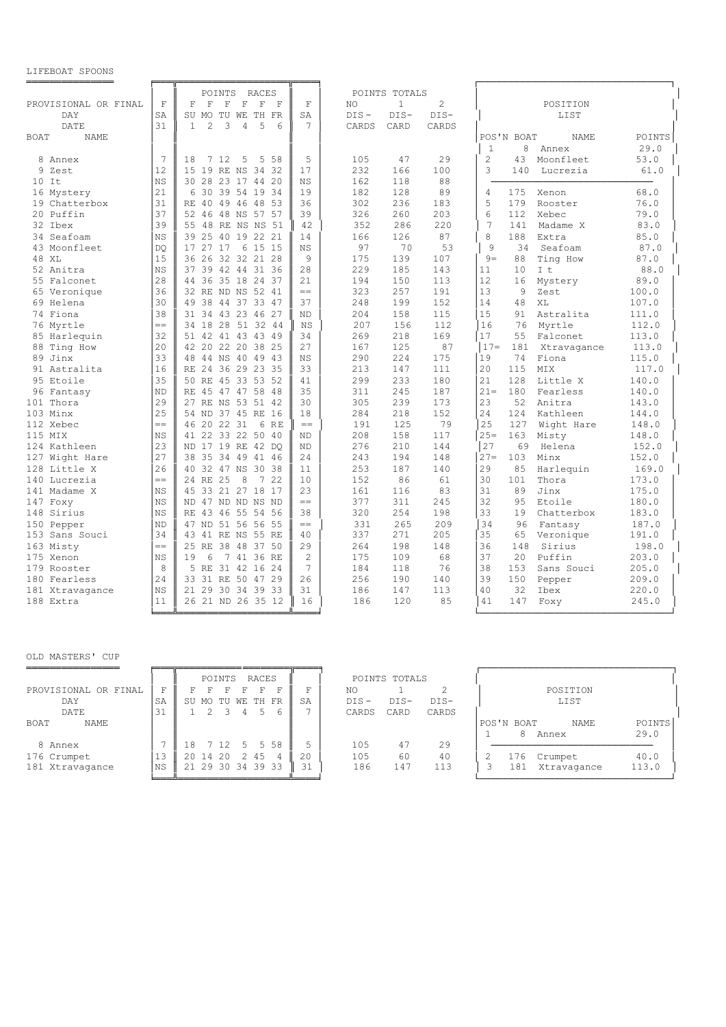### LIFEBOAT SPOONS

|                                |              | POINTS<br>RACES                                                                                  |                |                  | POINTS TOTALS |                 |                                                                           |
|--------------------------------|--------------|--------------------------------------------------------------------------------------------------|----------------|------------------|---------------|-----------------|---------------------------------------------------------------------------|
| PROVISIONAL OR FINAL           | $\mathbf{F}$ | $\mathbf F$<br>$\mathbf F$<br>$\mathbf F$<br>F<br>$\mathbb F$<br>$\mathbf{F}$                    | $\mathbf F$    | NO.              | $\mathbf{1}$  | $\overline{c}$  | POSITION                                                                  |
| DAY                            | SA<br>31     | SU<br>MO<br>TU<br>WE TH<br>FR<br>$\overline{2}$<br>3<br>5<br>$\overline{4}$<br>6<br>$\mathbf{1}$ | SA<br>7        | $DIS -$<br>CARDS | DIS-          | $DIS-$<br>CARDS | LIST                                                                      |
| DATE                           |              |                                                                                                  |                |                  | CARD          |                 |                                                                           |
| <b>BOAT</b><br>NAME.           |              |                                                                                                  |                |                  |               |                 | <b>NAME</b><br>POINTS<br>POS'N BOAT                                       |
|                                | 7            |                                                                                                  | 5              |                  |               |                 | 8<br>29.0<br>$\mathbf{1}$<br>Annex                                        |
| 8 Annex<br>9                   | 12           | 7 12<br>5<br>5 58<br>18<br>15 19 RE NS 34 32                                                     | 17             | 105<br>232       | 47<br>166     | 29<br>100       | $\overline{c}$<br>53.0<br>43<br>Moonfleet<br>$\mathcal{L}$<br>61.0<br>140 |
| Zest<br>$10$ It                | NS           | 30 28 23 17 44 20                                                                                | <b>NS</b>      | 162              | 118           | 88              | Lucrezia                                                                  |
|                                | 21           | 39 54 19 34<br>6                                                                                 |                | 182              |               | 89              |                                                                           |
| Mystery<br>16<br>19 Chatterbox | 31           | 30<br>RE 40 49 46 48 53                                                                          | 19<br>36       | 302              | 128<br>236    | 183             | 175<br>68.0<br>4<br>Xenon<br>5<br>179<br>76.0<br>Rooster                  |
| 2.0<br>Puffin                  | 37           | 52 46<br>48 NS 57 57                                                                             | 39             | 326              | 260           | 203             | 6<br>112<br>Xebec<br>79.0                                                 |
| 32 Thex                        | 39           | 55 48 RE NS NS<br>-51                                                                            | 42             | 352              | 286           | 220             | 7<br>141<br>Madame X<br>83.0                                              |
| 34<br>Seafoam                  | <b>NS</b>    | 39<br>25<br>40 19 22 21                                                                          | 14             | 166              | 126           | 87              | 8<br>188<br>Extra<br>85.0                                                 |
| 43 Moonfleet                   | DO           | 17 27 17<br>6 15 15                                                                              | <b>NS</b>      | 97               | 70            | 53              | $\overline{9}$<br>34<br>Seafoam<br>87.0                                   |
| 48 XL                          | 15           | 36 26 32 32 21 28                                                                                | 9              | 175              | 139           | 107             | $9 =$<br>88<br>Ting How<br>87.0                                           |
| 52 Anitra                      | <b>NS</b>    | 37 39 42 44 31 36                                                                                | 28             | 229              | 185           | 143             | 88.0<br>11<br>10<br>I t                                                   |
| 55 Falconet                    | 28           | 44 36 35 18 24 37                                                                                | 21             | 194              | 150           | 113             | 12<br>89.0<br>16<br>Mystery                                               |
| 65 Veronique                   | 36           | 32 RE ND NS 52 41                                                                                | $=$            | 323              | 257           | 191             | 13<br>$\mathcal{Q}$<br>Zest<br>100.0                                      |
| 69 Helena                      | 30           | 49 38 44 37 33 47                                                                                | 37             | 248              | 199           | 152             | 14<br>48<br>XT.<br>107.0                                                  |
| 74 Fiona                       | 38           | 34 43 23 46 27<br>31                                                                             | <b>ND</b>      | 204              | 158           | 115             | 15<br>Astralita<br>111.0<br>91                                            |
| 76 Myrtle                      | $=$          | 34 18 28 51 32 44                                                                                | <b>NS</b>      | 207              | 156           | 112             | 16<br>76<br>Myrtle<br>112.0                                               |
| 85 Harlequin                   | 32           | 51 42 41 43 43 49                                                                                | 34             | 269              | 218           | 169             | 17<br>Falconet<br>113.0<br>55                                             |
| 88<br>Ting How                 | 20           | 42 20 22 20 38 25                                                                                | 2.7            | 167              | 125           | 87              | $17 =$<br>181<br>Xtravagance<br>113.0                                     |
| 89<br>Jinx                     | 33           | 48 44 NS 40 49 43                                                                                | <b>NS</b>      | 290              | 224           | 175             | 19<br>74<br>Fiona<br>115.0                                                |
| 91 Astralita                   | 16           | RE 24 36 29 23 35                                                                                | 33             | 213              | 147           | 111             | 20<br>115<br>MIX<br>117.0                                                 |
| Etoile<br>95                   | 35           | 4.5<br>33 53 52<br>50 RE                                                                         | 41             | 299              | 233           | 180             | 21<br>128<br>140.0<br>Little X                                            |
| 96 Fantasy                     | <b>ND</b>    | RE 45 47 47 58 48                                                                                | 35             | 311              | 245           | 187             | $21 =$<br>180<br>Fearless<br>140.0                                        |
| Thora<br>101                   | 29           | 27 RE NS 53 51 42                                                                                | 30             | 305              | 239           | 173             | 23<br>52<br>Anitra<br>143.0                                               |
| 103 Minx                       | 25           | 54 ND 37 45 RE 16                                                                                | 18             | 284              | 218           | 152             | 24<br>124<br>Kathleen<br>144.0                                            |
| 112 Xebec                      | $=$          | 46 20 22 31<br>6 RE                                                                              | $=$            | 191              | 125           | 79              | 25<br>127<br>Wight Hare<br>148.0                                          |
| 115 MTX                        | <b>NS</b>    | 41 22 33 22 50 40                                                                                | N <sub>D</sub> | 208              | 158           | 117             | $2.5=$<br>163<br>Misty<br>148.0                                           |
| 124 Kathleen                   | 23           | ND 17 19 RE 42 DO                                                                                | <b>ND</b>      | 276              | 210           | 144             | 27<br>69<br>Helena<br>152.0                                               |
| 127 Wight Hare                 | 27           | 38 35 34 49 41 46                                                                                | 24             | 243              | 194           | 148             | 103<br>$27 =$<br>Minx<br>152.0                                            |
| 128 Little X                   | 26           | 40 32 47 NS 30 38                                                                                | 11             | 253              | 187           | 140             | 29<br>85<br>Harlequin<br>169.0                                            |
| 140 Lucrezia                   | $=$          | 24 RE 25<br>8<br>$7\overline{ }$<br>22                                                           | 10             | 152              | 86            | 61              | 30<br>101<br>Thora<br>173.0                                               |
| 141 Madame X                   | NS           | 45 33 21 27 18 17                                                                                | 23             | 161              | 116           | 83              | 31<br>89<br>Jinx<br>175.0                                                 |
| 147 Foxy                       | <b>NS</b>    | ND 47 ND ND NS ND                                                                                | $=$            | 377              | 311           | 245             | 32<br>9.5<br>Etoile<br>180.0                                              |
| 148 Sirius                     | <b>NS</b>    | RE 43 46 55 54 56                                                                                | 38             | 320              | 254           | 198             | 33<br>19<br>Chatterbox<br>183.0                                           |
| Pepper<br>150                  | <b>ND</b>    | 47 ND 51 56 56 55                                                                                | $=$            | 331              | 265           | 209             | 34<br>96<br>187.0<br>Fantasy                                              |
| 153 Sans Souci                 | 34           | 43 41 RE NS 55 RE                                                                                | 40             | 337              | 2.71          | 205             | 35<br>65<br>Veronique<br>191.0                                            |
| 163 Misty                      | $=$          | 25 RE<br>38 48 37<br>50                                                                          | 29             | 264              | 198           | 148             | 36<br>148<br>Sirius<br>198.0                                              |
| 175 Xenon                      | <b>NS</b>    | 19<br>6<br>7 41 36 RE                                                                            | $\overline{2}$ | 175              | 109           | 68              | 37<br>2.0<br>Puffin<br>203.0                                              |
| 179 Rooster                    | 8            | 5 RE 31 42 16 24                                                                                 | $\overline{7}$ | 184              | 118           | 76              | 38<br>153<br>Sans Souci<br>205.0                                          |
| 180 Fearless                   | 24           | 33 31 RE 50 47 29                                                                                | 26             | 256              | 190           | 140             | 39<br>150<br>209.0<br>Pepper                                              |
| 181 Xtravagance                | <b>NS</b>    | 21 29 30 34 39 33                                                                                | 31             | 186              | 147           | 113             | 40<br>32<br>Ibex<br>220.0                                                 |
| 188 Extra                      | 11           | 26 21 ND 26 35 12                                                                                | 16             | 186              | 120           | 85              | 41<br>147<br>245.0<br>Foxy                                                |
|                                |              |                                                                                                  |                |                  |               |                 |                                                                           |

## OLD MASTERS' CUP

|                      |    | POINTS<br>RACES           |    | POINTS TOTALS   |       |                                     |
|----------------------|----|---------------------------|----|-----------------|-------|-------------------------------------|
| PROVISIONAL OR FINAL | F  |                           | F. | NO              |       | POSITION                            |
| DAY                  | SA | SU MO TU WE TH FR         | SA | $DIS -$<br>DIS- | DIS-  | LIST                                |
| DATE                 | 31 | 6<br>4                    |    | CARDS<br>CARD   | CARDS |                                     |
| <b>NAME</b><br>BOAT  |    |                           |    |                 |       | POINTS<br>POS'N BOAT<br><b>NAME</b> |
|                      |    |                           |    |                 |       | 29.0<br>8<br>Annex                  |
| 8 Annex              |    | 5 58<br>12.<br>18<br>5    | 5  | 105<br>47       | 29    |                                     |
| 176 Crumpet          | 13 | 20<br>4.5<br>14<br>20     | 20 | 105<br>60       | 40    | 40.0<br>176<br>Crumpet              |
| 181 Xtravagance      | ΝS | . 29 30<br>34 39 33<br>21 | 31 | 147<br>186      | 113   | 113.0<br>181<br>Xtravagance         |

|            | POSITION<br>LIST |                 |                |  |  |  |  |  |  |  |  |
|------------|------------------|-----------------|----------------|--|--|--|--|--|--|--|--|
| POS'N BOAT | 8<br>Annex       | NAME.           | POINTS<br>29.0 |  |  |  |  |  |  |  |  |
| 2<br>3     | 176 Crumpet      | 181 Xtravagance | 40.0<br>113.0  |  |  |  |  |  |  |  |  |